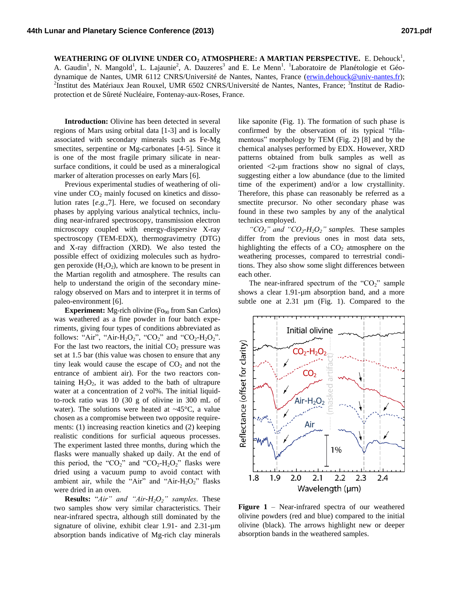WEATHERING OF OLIVINE UNDER CO<sub>2</sub> ATMOSPHERE: A MARTIAN PERSPECTIVE. E. Dehouck<sup>1</sup>, A. Gaudin<sup>1</sup>, N. Mangold<sup>1</sup>, L. Lajaunie<sup>2</sup>, A. Dauzeres<sup>3</sup> and E. Le Menn<sup>1</sup>. <sup>1</sup>Laboratoire de Planétologie et Géodynamique de Nantes, UMR 6112 CNRS/Université de Nantes, Nantes, France [\(erwin.dehouck@univ-nantes.fr\)](mailto:erwin.dehouck@univ-nantes.fr); <sup>2</sup>Institut des Matériaux Jean Rouxel, UMR 6502 CNRS/Université de Nantes, Nantes, France; <sup>3</sup>Institut de Radioprotection et de Sûreté Nucléaire, Fontenay-aux-Roses, France.

**Introduction:** Olivine has been detected in several regions of Mars using orbital data [1-3] and is locally associated with secondary minerals such as Fe-Mg smectites, serpentine or Mg-carbonates [4-5]. Since it is one of the most fragile primary silicate in nearsurface conditions, it could be used as a mineralogical marker of alteration processes on early Mars [6].

Previous experimental studies of weathering of olivine under  $CO<sub>2</sub>$  mainly focused on kinetics and dissolution rates [*e.g.*,7]. Here, we focused on secondary phases by applying various analytical technics, including near-infrared spectroscopy, transmission electron microscopy coupled with energy-dispersive X-ray spectroscopy (TEM-EDX), thermogravimetry (DTG) and X-ray diffraction (XRD). We also tested the possible effect of oxidizing molecules such as hydrogen peroxide  $(H_2O_2)$ , which are known to be present in the Martian regolith and atmosphere. The results can help to understand the origin of the secondary mineralogy observed on Mars and to interpret it in terms of paleo-environment [6].

**Experiment:** Mg-rich olivine (Fo<sub>90</sub> from San Carlos) was weathered as a fine powder in four batch experiments, giving four types of conditions abbreviated as follows: "Air", "Air-H<sub>2</sub>O<sub>2</sub>", "CO<sub>2</sub>" and "CO<sub>2</sub>-H<sub>2</sub>O<sub>2</sub>". For the last two reactors, the initial  $CO<sub>2</sub>$  pressure was set at 1.5 bar (this value was chosen to ensure that any tiny leak would cause the escape of  $CO<sub>2</sub>$  and not the entrance of ambient air). For the two reactors containing  $H_2O_2$ , it was added to the bath of ultrapure water at a concentration of 2 vol%. The initial liquidto-rock ratio was 10 (30 g of olivine in 300 mL of water). The solutions were heated at  $\sim$ 45 $\degree$ C, a value chosen as a compromise between two opposite requirements: (1) increasing reaction kinetics and (2) keeping realistic conditions for surficial aqueous processes. The experiment lasted three months, during which the flasks were manually shaked up daily. At the end of this period, the " $CO_2$ " and " $CO_2$ - $H_2O_2$ " flasks were dried using a vacuum pump to avoid contact with ambient air, while the "Air" and "Air- $H_2O_2$ " flasks were dried in an oven.

**Results:** "*Air" and "Air-H2O2" samples.* These two samples show very similar characteristics. Their near-infrared spectra, although still dominated by the signature of olivine, exhibit clear 1.91- and 2.31-um absorption bands indicative of Mg-rich clay minerals

like saponite (Fig. 1). The formation of such phase is confirmed by the observation of its typical "filamentous" morphology by TEM (Fig. 2) [8] and by the chemical analyses performed by EDX. However, XRD patterns obtained from bulk samples as well as oriented <2-µm fractions show no signal of clays, suggesting either a low abundance (due to the limited time of the experiment) and/or a low crystallinity. Therefore, this phase can reasonably be referred as a smectite precursor. No other secondary phase was found in these two samples by any of the analytical technics employed.

*"CO2" and "CO2-H2O2" samples.* These samples differ from the previous ones in most data sets, highlighting the effects of a  $CO<sub>2</sub>$  atmosphere on the weathering processes, compared to terrestrial conditions. They also show some slight differences between each other.

The near-infrared spectrum of the " $CO<sub>2</sub>$ " sample shows a clear 1.91-um absorption band, and a more subtle one at 2.31  $\mu$ m (Fig. 1). Compared to the



**Figure 1** – Near-infrared spectra of our weathered olivine powders (red and blue) compared to the initial olivine (black). The arrows highlight new or deeper absorption bands in the weathered samples.